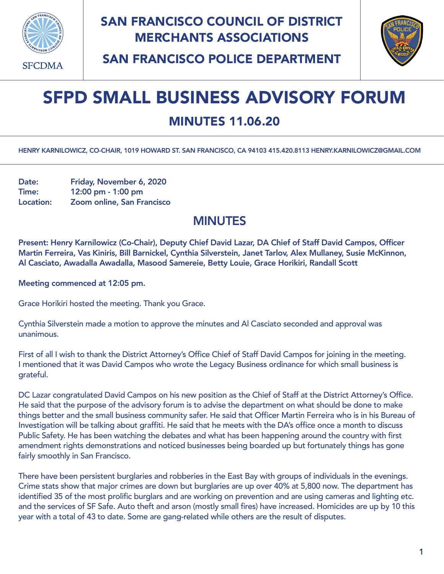

## SAN FRANCISCO COUNCIL OF DISTRICT MERCHANTS ASSOCIATIONS



SAN FRANCISCO POLICE DEPARTMENT

# SFPD SMALL BUSINESS ADVISORY FORUM

## MINUTES 11.06.20

HENRY KARNILOWICZ, CO-CHAIR, 1019 HOWARD ST. SAN FRANCISCO, CA 94103 415.420.8113 [HENRY.KARNILOWICZ@GMAIL.COM](mailto:henry.karnilowicz@gmail.com)

Date: Friday, November 6, 2020 Time: 12:00 pm - 1:00 pm Location: Zoom online, San Francisco

#### MINUTES

Present: Henry Karnilowicz (Co-Chair), Deputy Chief David Lazar, DA Chief of Staff David Campos, Officer Martin Ferreira, Vas Kiniris, Bill Barnickel, Cynthia Silverstein, Janet Tarlov, Alex Mullaney, Susie McKinnon, Al Casciato, Awadalla Awadalla, Masood Samereie, Betty Louie, Grace Horikiri, Randall Scott

Meeting commenced at 12:05 pm.

Grace Horikiri hosted the meeting. Thank you Grace.

Cynthia Silverstein made a motion to approve the minutes and Al Casciato seconded and approval was unanimous.

First of all I wish to thank the District Attorney's Office Chief of Staff David Campos for joining in the meeting. I mentioned that it was David Campos who wrote the Legacy Business ordinance for which small business is grateful.

DC Lazar congratulated David Campos on his new position as the Chief of Staff at the District Attorney's Office. He said that the purpose of the advisory forum is to advise the department on what should be done to make things better and the small business community safer. He said that Officer Martin Ferreira who is in his Bureau of Investigation will be talking about graffiti. He said that he meets with the DA's office once a month to discuss Public Safety. He has been watching the debates and what has been happening around the country with first amendment rights demonstrations and noticed businesses being boarded up but fortunately things has gone fairly smoothly in San Francisco.

There have been persistent burglaries and robberies in the East Bay with groups of individuals in the evenings. Crime stats show that major crimes are down but burglaries are up over 40% at 5,800 now. The department has identified 35 of the most prolific burglars and are working on prevention and are using cameras and lighting etc. and the services of SF Safe. Auto theft and arson (mostly small fires) have increased. Homicides are up by 10 this year with a total of 43 to date. Some are gang-related while others are the result of disputes.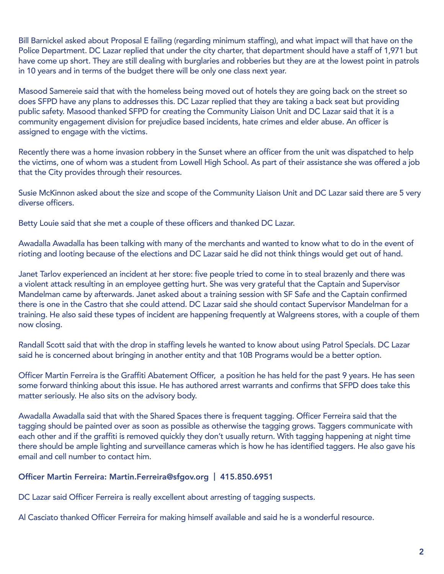Bill Barnickel asked about Proposal E failing (regarding minimum staffing), and what impact will that have on the Police Department. DC Lazar replied that under the city charter, that department should have a staff of 1,971 but have come up short. They are still dealing with burglaries and robberies but they are at the lowest point in patrols in 10 years and in terms of the budget there will be only one class next year.

Masood Samereie said that with the homeless being moved out of hotels they are going back on the street so does SFPD have any plans to addresses this. DC Lazar replied that they are taking a back seat but providing public safety. Masood thanked SFPD for creating the Community Liaison Unit and DC Lazar said that it is a community engagement division for prejudice based incidents, hate crimes and elder abuse. An officer is assigned to engage with the victims.

Recently there was a home invasion robbery in the Sunset where an officer from the unit was dispatched to help the victims, one of whom was a student from Lowell High School. As part of their assistance she was offered a job that the City provides through their resources.

Susie McKinnon asked about the size and scope of the Community Liaison Unit and DC Lazar said there are 5 very diverse officers.

Betty Louie said that she met a couple of these officers and thanked DC Lazar.

Awadalla Awadalla has been talking with many of the merchants and wanted to know what to do in the event of rioting and looting because of the elections and DC Lazar said he did not think things would get out of hand.

Janet Tarlov experienced an incident at her store: five people tried to come in to steal brazenly and there was a violent attack resulting in an employee getting hurt. She was very grateful that the Captain and Supervisor Mandelman came by afterwards. Janet asked about a training session with SF Safe and the Captain confirmed there is one in the Castro that she could attend. DC Lazar said she should contact Supervisor Mandelman for a training. He also said these types of incident are happening frequently at Walgreens stores, with a couple of them now closing.

Randall Scott said that with the drop in staffing levels he wanted to know about using Patrol Specials. DC Lazar said he is concerned about bringing in another entity and that 10B Programs would be a better option.

Officer Martin Ferreira is the Graffiti Abatement Officer, a position he has held for the past 9 years. He has seen some forward thinking about this issue. He has authored arrest warrants and confirms that SFPD does take this matter seriously. He also sits on the advisory body.

Awadalla Awadalla said that with the Shared Spaces there is frequent tagging. Officer Ferreira said that the tagging should be painted over as soon as possible as otherwise the tagging grows. Taggers communicate with each other and if the graffiti is removed quickly they don't usually return. With tagging happening at night time there should be ample lighting and surveillance cameras which is how he has identified taggers. He also gave his email and cell number to contact him.

#### Officer Martin Ferreira: [Martin.Ferreira@sfgov.org](mailto:Martin.Ferreira@sfgov.org) | 415.850.6951

DC Lazar said Officer Ferreira is really excellent about arresting of tagging suspects.

Al Casciato thanked Officer Ferreira for making himself available and said he is a wonderful resource.